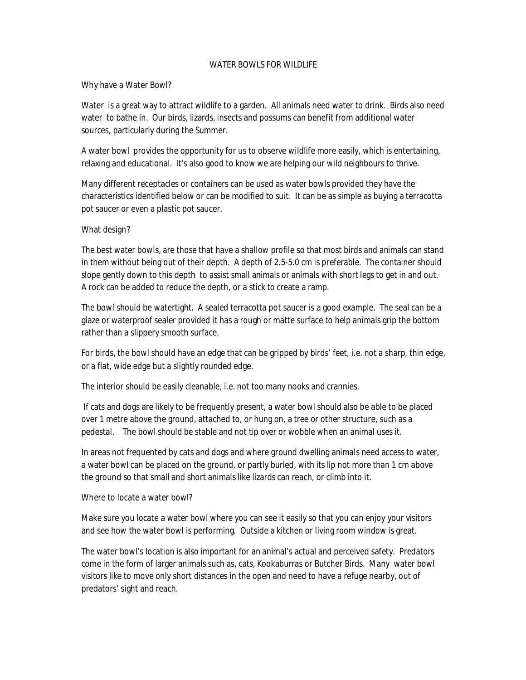## WATER BOWLS FOR WILDLIFE

## Why have a Water Bowl?

Water is a great way to attract wildlife to a garden. All animals need water to drink. Birds also need water to bathe in. Our birds, lizards, insects and possums can benefit from additional water sources, particularly during the Summer.

A water bowl provides the opportunity for us to observe wildlife more easily, which is entertaining, relaxing and educational. It's also good to know we are helping our wild neighbours to thrive.

Many different receptacles or containers can be used as water bowls provided they have the characteristics identified below or can be modified to suit. It can be as simple as buying a terracotta pot saucer or even a plastic pot saucer.

## What design?

The best water bowls, are those that have a shallow profile so that most birds and animals can stand in them without being out of their depth. A depth of 2.5-5.0 cm is preferable. The container should slope gently down to this depth to assist small animals or animals with short legs to get in and out. A rock can be added to reduce the depth, or a stick to create a ramp.

The bowl should be watertight. A sealed terracotta pot saucer is a good example. The seal can be a glaze or waterproof sealer provided it has a rough or matte surface to help animals grip the bottom rather than a slippery smooth surface.

For birds, the bowl should have an edge that can be gripped by birds' feet, i.e. not a sharp, thin edge, or a flat, wide edge but a slightly rounded edge.

The interior should be easily cleanable, i.e. not too many nooks and crannies.

If cats and dogs are likely to be frequently present, a water bowl should also be able to be placed over 1 metre above the ground, attached to, or hung on, a tree or other structure, such as a pedestal. The bowl should be stable and not tip over or wobble when an animal uses it.

In areas not frequented by cats and dogs and where ground dwelling animals need access to water, a water bowl can be placed on the ground, or partly buried, with its lip not more than 1 cm above the ground so that small and short animals like lizards can reach, or climb into it.

Where to locate a water bowl?

Make sure you locate a water bowl where you can see it easily so that you can enjoy your visitors and see how the water bowl is performing. Outside a kitchen or living room window is great.

The water bowl's location is also important for an animal's actual and perceived safety. Predators come in the form of larger animals such as, cats, Kookaburras or Butcher Birds. Many water bowl visitors like to move only short distances in the open and need to have a refuge nearby, out of predators' sight and reach.